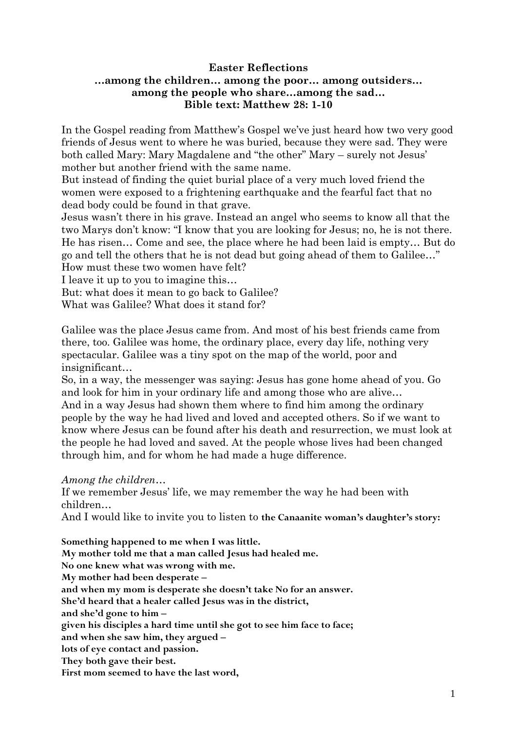# **Easter Reflections …among the children… among the poor… among outsiders… among the people who share…among the sad… Bible text: Matthew 28: 1-10**

In the Gospel reading from Matthew's Gospel we've just heard how two very good friends of Jesus went to where he was buried, because they were sad. They were both called Mary: Mary Magdalene and "the other" Mary – surely not Jesus' mother but another friend with the same name.

But instead of finding the quiet burial place of a very much loved friend the women were exposed to a frightening earthquake and the fearful fact that no dead body could be found in that grave.

Jesus wasn't there in his grave. Instead an angel who seems to know all that the two Marys don't know: "I know that you are looking for Jesus; no, he is not there. He has risen… Come and see, the place where he had been laid is empty… But do go and tell the others that he is not dead but going ahead of them to Galilee…" How must these two women have felt?

I leave it up to you to imagine this…

But: what does it mean to go back to Galilee?

What was Galilee? What does it stand for?

Galilee was the place Jesus came from. And most of his best friends came from there, too. Galilee was home, the ordinary place, every day life, nothing very spectacular. Galilee was a tiny spot on the map of the world, poor and insignificant…

So, in a way, the messenger was saying: Jesus has gone home ahead of you. Go and look for him in your ordinary life and among those who are alive… And in a way Jesus had shown them where to find him among the ordinary people by the way he had lived and loved and accepted others. So if we want to know where Jesus can be found after his death and resurrection, we must look at the people he had loved and saved. At the people whose lives had been changed through him, and for whom he had made a huge difference.

*Among the children…*

If we remember Jesus' life, we may remember the way he had been with children…

And I would like to invite you to listen to **the Canaanite woman's daughter's story:**

**Something happened to me when I was little. My mother told me that a man called Jesus had healed me. No one knew what was wrong with me. My mother had been desperate – and when my mom is desperate she doesn't take No for an answer. She'd heard that a healer called Jesus was in the district, and she'd gone to him – given his disciples a hard time until she got to see him face to face; and when she saw him, they argued – lots of eye contact and passion. They both gave their best. First mom seemed to have the last word,**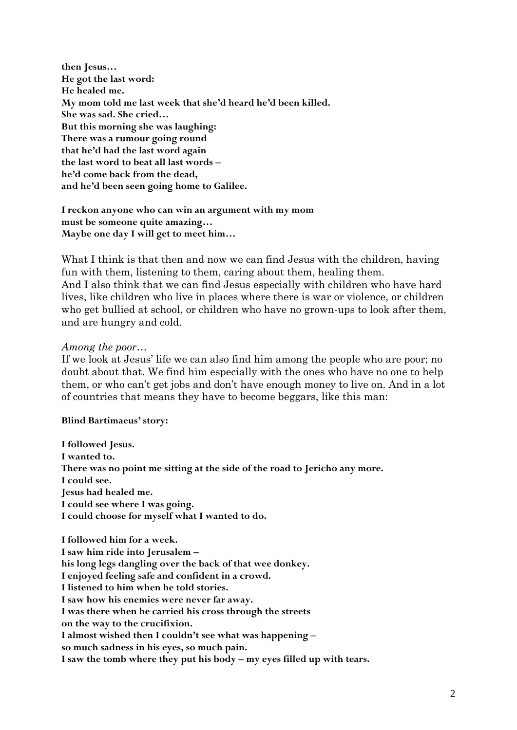**then Jesus… He got the last word: He healed me. My mom told me last week that she'd heard he'd been killed. She was sad. She cried… But this morning she was laughing: There was a rumour going round that he'd had the last word again the last word to beat all last words – he'd come back from the dead, and he'd been seen going home to Galilee.**

**I reckon anyone who can win an argument with my mom must be someone quite amazing… Maybe one day I will get to meet him…**

What I think is that then and now we can find Jesus with the children, having fun with them, listening to them, caring about them, healing them.

And I also think that we can find Jesus especially with children who have hard lives, like children who live in places where there is war or violence, or children who get bullied at school, or children who have no grown-ups to look after them, and are hungry and cold.

## *Among the poor…*

If we look at Jesus' life we can also find him among the people who are poor; no doubt about that. We find him especially with the ones who have no one to help them, or who can't get jobs and don't have enough money to live on. And in a lot of countries that means they have to become beggars, like this man:

### **Blind Bartimaeus' story:**

**I followed Jesus. I wanted to. There was no point me sitting at the side of the road to Jericho any more. I could see. Jesus had healed me. I could see where I was going. I could choose for myself what I wanted to do.**

**I followed him for a week. I saw him ride into Jerusalem – his long legs dangling over the back of that wee donkey. I enjoyed feeling safe and confident in a crowd. I listened to him when he told stories. I saw how his enemies were never far away. I was there when he carried his cross through the streets on the way to the crucifixion. I almost wished then I couldn't see what was happening – so much sadness in his eyes, so much pain. I saw the tomb where they put his body – my eyes filled up with tears.**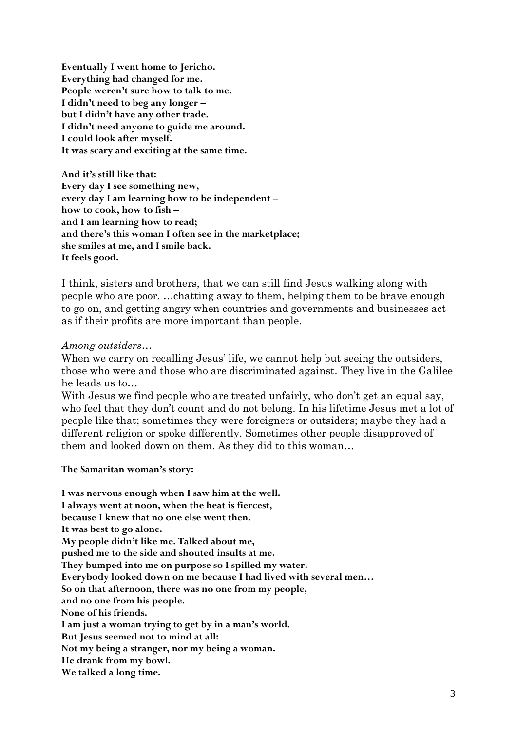**Eventually I went home to Jericho. Everything had changed for me. People weren't sure how to talk to me. I didn't need to beg any longer – but I didn't have any other trade. I didn't need anyone to guide me around. I could look after myself. It was scary and exciting at the same time.**

**And it's still like that: Every day I see something new, every day I am learning how to be independent – how to cook, how to fish – and I am learning how to read; and there's this woman I often see in the marketplace; she smiles at me, and I smile back. It feels good.**

I think, sisters and brothers, that we can still find Jesus walking along with people who are poor. …chatting away to them, helping them to be brave enough to go on, and getting angry when countries and governments and businesses act as if their profits are more important than people.

### *Among outsiders…*

When we carry on recalling Jesus' life, we cannot help but seeing the outsiders, those who were and those who are discriminated against. They live in the Galilee he leads us to…

With Jesus we find people who are treated unfairly, who don't get an equal say, who feel that they don't count and do not belong. In his lifetime Jesus met a lot of people like that; sometimes they were foreigners or outsiders; maybe they had a different religion or spoke differently. Sometimes other people disapproved of them and looked down on them. As they did to this woman…

**The Samaritan woman's story:**

**I was nervous enough when I saw him at the well. I always went at noon, when the heat is fiercest, because I knew that no one else went then. It was best to go alone. My people didn't like me. Talked about me, pushed me to the side and shouted insults at me. They bumped into me on purpose so I spilled my water. Everybody looked down on me because I had lived with several men… So on that afternoon, there was no one from my people, and no one from his people. None of his friends. I am just a woman trying to get by in a man's world. But Jesus seemed not to mind at all: Not my being a stranger, nor my being a woman. He drank from my bowl. We talked a long time.**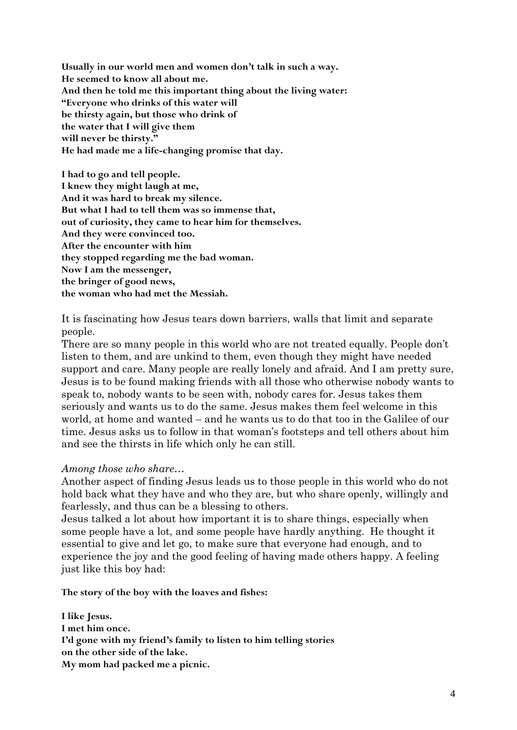**Usually in our world men and women don't talk in such a way. He seemed to know all about me. And then he told me this important thing about the living water: "Everyone who drinks of this water will be thirsty again, but those who drink of the water that I will give them will never be thirsty." He had made me a life-changing promise that day.**

**I had to go and tell people. I knew they might laugh at me, And it was hard to break my silence. But what I had to tell them was so immense that, out of curiosity, they came to hear him for themselves. And they were convinced too. After the encounter with him they stopped regarding me the bad woman. Now I am the messenger, the bringer of good news, the woman who had met the Messiah.**

It is fascinating how Jesus tears down barriers, walls that limit and separate people.

There are so many people in this world who are not treated equally. People don't listen to them, and are unkind to them, even though they might have needed support and care. Many people are really lonely and afraid. And I am pretty sure, Jesus is to be found making friends with all those who otherwise nobody wants to speak to, nobody wants to be seen with, nobody cares for. Jesus takes them seriously and wants us to do the same. Jesus makes them feel welcome in this world, at home and wanted – and he wants us to do that too in the Galilee of our time. Jesus asks us to follow in that woman's footsteps and tell others about him and see the thirsts in life which only he can still.

### *Among those who share…*

Another aspect of finding Jesus leads us to those people in this world who do not hold back what they have and who they are, but who share openly, willingly and fearlessly, and thus can be a blessing to others.

Jesus talked a lot about how important it is to share things, especially when some people have a lot, and some people have hardly anything. He thought it essential to give and let go, to make sure that everyone had enough, and to experience the joy and the good feeling of having made others happy. A feeling just like this boy had:

**The story of the boy with the loaves and fishes:**

**I like Jesus. I met him once. I'd gone with my friend's family to listen to him telling stories on the other side of the lake. My mom had packed me a picnic.**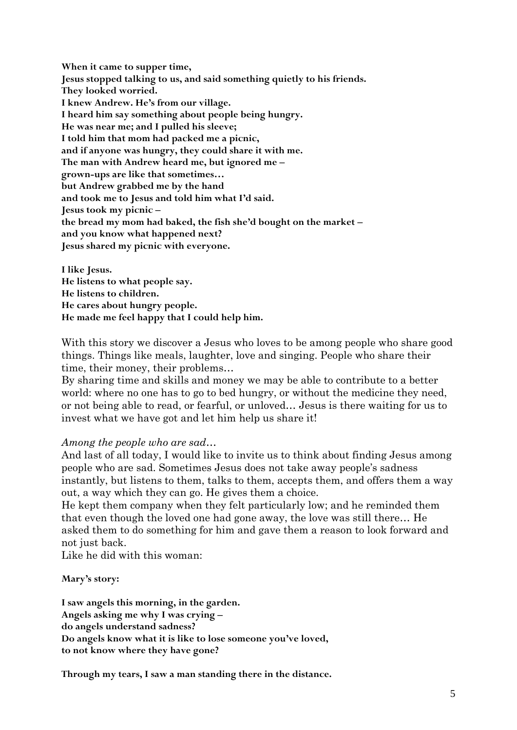**When it came to supper time, Jesus stopped talking to us, and said something quietly to his friends. They looked worried. I knew Andrew. He's from our village. I heard him say something about people being hungry. He was near me; and I pulled his sleeve; I told him that mom had packed me a picnic, and if anyone was hungry, they could share it with me. The man with Andrew heard me, but ignored me – grown-ups are like that sometimes… but Andrew grabbed me by the hand and took me to Jesus and told him what I'd said. Jesus took my picnic – the bread my mom had baked, the fish she'd bought on the market – and you know what happened next? Jesus shared my picnic with everyone.**

**I like Jesus. He listens to what people say. He listens to children. He cares about hungry people. He made me feel happy that I could help him.**

With this story we discover a Jesus who loves to be among people who share good things. Things like meals, laughter, love and singing. People who share their time, their money, their problems…

By sharing time and skills and money we may be able to contribute to a better world: where no one has to go to bed hungry, or without the medicine they need, or not being able to read, or fearful, or unloved… Jesus is there waiting for us to invest what we have got and let him help us share it!

## *Among the people who are sad…*

And last of all today, I would like to invite us to think about finding Jesus among people who are sad. Sometimes Jesus does not take away people's sadness instantly, but listens to them, talks to them, accepts them, and offers them a way out, a way which they can go. He gives them a choice.

He kept them company when they felt particularly low; and he reminded them that even though the loved one had gone away, the love was still there… He asked them to do something for him and gave them a reason to look forward and not just back.

Like he did with this woman:

**Mary's story:**

**I saw angels this morning, in the garden. Angels asking me why I was crying – do angels understand sadness? Do angels know what it is like to lose someone you've loved, to not know where they have gone?**

**Through my tears, I saw a man standing there in the distance.**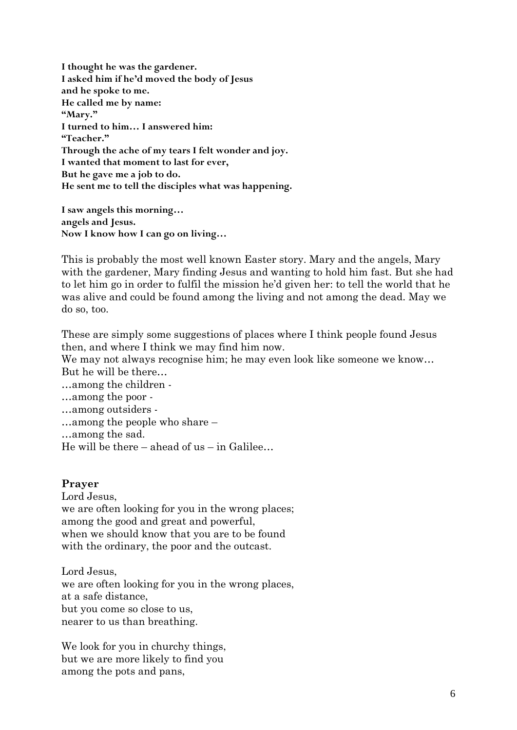**I thought he was the gardener. I asked him if he'd moved the body of Jesus and he spoke to me. He called me by name: "Mary." I turned to him… I answered him: "Teacher." Through the ache of my tears I felt wonder and joy. I wanted that moment to last for ever, But he gave me a job to do. He sent me to tell the disciples what was happening.**

**I saw angels this morning… angels and Jesus. Now I know how I can go on living…**

This is probably the most well known Easter story. Mary and the angels, Mary with the gardener, Mary finding Jesus and wanting to hold him fast. But she had to let him go in order to fulfil the mission he'd given her: to tell the world that he was alive and could be found among the living and not among the dead. May we do so, too.

These are simply some suggestions of places where I think people found Jesus then, and where I think we may find him now.

We may not always recognise him; he may even look like someone we know... But he will be there…

…among the children -

- …among the poor -
- …among outsiders -
- …among the people who share –
- …among the sad.

He will be there – ahead of us – in Galilee...

## **Prayer**

Lord Jesus, we are often looking for you in the wrong places; among the good and great and powerful, when we should know that you are to be found with the ordinary, the poor and the outcast.

Lord Jesus, we are often looking for you in the wrong places, at a safe distance, but you come so close to us, nearer to us than breathing.

We look for you in churchy things, but we are more likely to find you among the pots and pans,